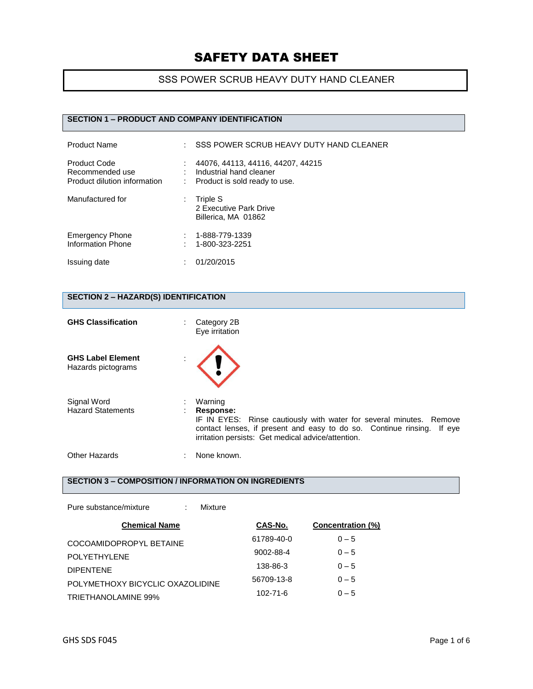## SSS POWER SCRUB HEAVY DUTY HAND CLEANER

## **SECTION 1 – PRODUCT AND COMPANY IDENTIFICATION**

| <b>Product Name</b>                                                    | t. | SSS POWER SCRUB HEAVY DUTY HAND CLEANER                                                       |
|------------------------------------------------------------------------|----|-----------------------------------------------------------------------------------------------|
| <b>Product Code</b><br>Recommended use<br>Product dilution information |    | 44076, 44113, 44116, 44207, 44215<br>Industrial hand cleaner<br>Product is sold ready to use. |
| Manufactured for                                                       | ÷  | Triple S<br>2 Executive Park Drive<br>Billerica, MA 01862                                     |
| <b>Emergency Phone</b><br>Information Phone                            |    | 1-888-779-1339<br>1-800-323-2251                                                              |
| Issuing date                                                           |    | 01/20/2015                                                                                    |

## **SECTION 2 – HAZARD(S) IDENTIFICATION**

| <b>GHS Classification</b>                      | Category 2B<br>Eye irritation                                                                                                                                                                                               |
|------------------------------------------------|-----------------------------------------------------------------------------------------------------------------------------------------------------------------------------------------------------------------------------|
| <b>GHS Label Element</b><br>Hazards pictograms |                                                                                                                                                                                                                             |
| Signal Word<br><b>Hazard Statements</b>        | Warning<br>Response:<br>IF IN EYES: Rinse cautiously with water for several minutes. Remove<br>contact lenses, if present and easy to do so. Continue rinsing. If eye<br>irritation persists: Get medical advice/attention. |
| Other Hazards                                  | None known.                                                                                                                                                                                                                 |

### **SECTION 3 – COMPOSITION / INFORMATION ON INGREDIENTS**

| Pure substance/mixture           | Mixture    |                   |
|----------------------------------|------------|-------------------|
| <b>Chemical Name</b>             | CAS-No.    | Concentration (%) |
| COCOAMIDOPROPYL BETAINE          | 61789-40-0 | $0 - 5$           |
| POLYETHYLENE                     | 9002-88-4  | $0 - 5$           |
| <b>DIPENTENE</b>                 | 138-86-3   | $0 - 5$           |
| POLYMETHOXY BICYCLIC OXAZOLIDINE | 56709-13-8 | $0 - 5$           |
| TRIETHANOLAMINE 99%              | 102-71-6   | $0 - 5$           |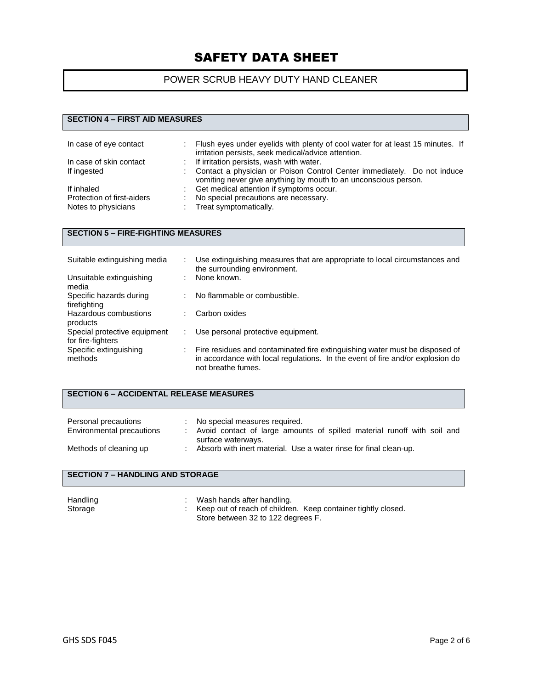## POWER SCRUB HEAVY DUTY HAND CLEANER

### **SECTION 4 – FIRST AID MEASURES**

| In case of eye contact     | ÷. | Flush eyes under eyelids with plenty of cool water for at least 15 minutes. If<br>irritation persists, seek medical/advice attention.      |
|----------------------------|----|--------------------------------------------------------------------------------------------------------------------------------------------|
| In case of skin contact    | ÷. | If irritation persists, wash with water.                                                                                                   |
| If ingested                |    | Contact a physician or Poison Control Center immediately. Do not induce<br>vomiting never give anything by mouth to an unconscious person. |
| If inhaled                 |    | Get medical attention if symptoms occur.                                                                                                   |
| Protection of first-aiders |    | No special precautions are necessary.                                                                                                      |
| Notes to physicians        |    | Treat symptomatically.                                                                                                                     |

### **SECTION 5 – FIRE-FIGHTING MEASURES**

| Suitable extinguishing media                      |   | Use extinguishing measures that are appropriate to local circumstances and<br>the surrounding environment.                                                                          |
|---------------------------------------------------|---|-------------------------------------------------------------------------------------------------------------------------------------------------------------------------------------|
| Unsuitable extinguishing<br>media                 | ٠ | None known.                                                                                                                                                                         |
| Specific hazards during<br>firefighting           | ÷ | No flammable or combustible.                                                                                                                                                        |
| Hazardous combustions<br>products                 |   | Carbon oxides                                                                                                                                                                       |
| Special protective equipment<br>for fire-fighters |   | Use personal protective equipment.                                                                                                                                                  |
| Specific extinguishing<br>methods                 |   | Fire residues and contaminated fire extinguishing water must be disposed of<br>in accordance with local regulations. In the event of fire and/or explosion do<br>not breathe fumes. |

## **SECTION 6 – ACCIDENTAL RELEASE MEASURES**

| Personal precautions<br>Environmental precautions | No special measures required.<br>Avoid contact of large amounts of spilled material runoff with soil and<br>surface waterways. |
|---------------------------------------------------|--------------------------------------------------------------------------------------------------------------------------------|
| Methods of cleaning up                            | Absorb with inert material. Use a water rinse for final clean-up.                                                              |

## **SECTION 7 – HANDLING AND STORAGE**

| Handling | Wash hands after handling.                                    |
|----------|---------------------------------------------------------------|
| Storage  | Keep out of reach of children. Keep container tightly closed. |
|          | Store between 32 to 122 degrees F.                            |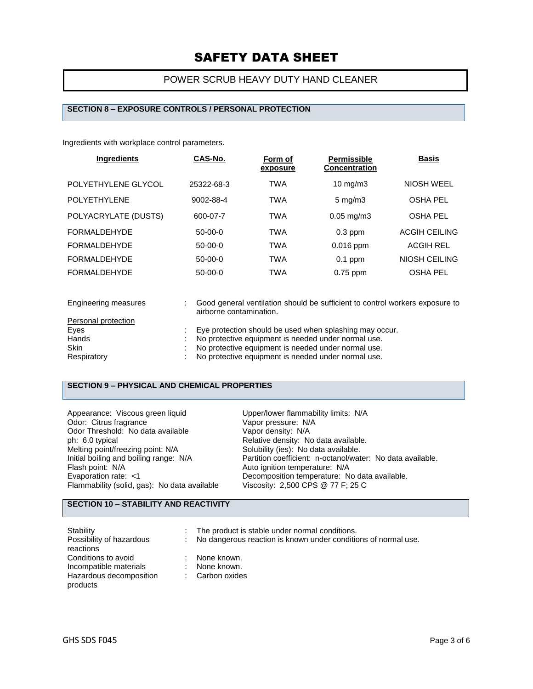## POWER SCRUB HEAVY DUTY HAND CLEANER

#### **SECTION 8 – EXPOSURE CONTROLS / PERSONAL PROTECTION**

Ingredients with workplace control parameters.

| <b>Ingredients</b>   | CAS-No.    | Form of<br>exposure | <b>Permissible</b><br><b>Concentration</b> | <b>Basis</b>         |
|----------------------|------------|---------------------|--------------------------------------------|----------------------|
| POLYETHYLENE GLYCOL  | 25322-68-3 | <b>TWA</b>          | $10 \text{ mg/m}$                          | NIOSH WEEL           |
| <b>POLYETHYLENE</b>  | 9002-88-4  | <b>TWA</b>          | $5 \text{ mg/m}$                           | <b>OSHA PEL</b>      |
| POLYACRYLATE (DUSTS) | 600-07-7   | <b>TWA</b>          | $0.05 \,\mathrm{mg/m}$                     | <b>OSHA PEL</b>      |
| <b>FORMALDEHYDE</b>  | $50-00-0$  | <b>TWA</b>          | $0.3$ ppm                                  | <b>ACGIH CEILING</b> |
| FORMAL DEHYDE        | $50-00-0$  | <b>TWA</b>          | $0.016$ ppm                                | <b>ACGIH REL</b>     |
| <b>FORMALDEHYDE</b>  | $50-00-0$  | <b>TWA</b>          | $0.1$ ppm                                  | NIOSH CEILING        |
| <b>FORMALDEHYDE</b>  | $50-00-0$  | <b>TWA</b>          | $0.75$ ppm                                 | <b>OSHA PEL</b>      |

| Engineering measures | Good general ventilation should be sufficient to control workers exposure to<br>airborne contamination. |
|----------------------|---------------------------------------------------------------------------------------------------------|
| Personal protection  |                                                                                                         |
| Eyes                 | Eye protection should be used when splashing may occur.                                                 |
| Hands                | No protective equipment is needed under normal use.                                                     |
| <b>Skin</b>          | No protective equipment is needed under normal use.                                                     |
| Respiratory          | No protective equipment is needed under normal use.                                                     |

#### **SECTION 9 – PHYSICAL AND CHEMICAL PROPERTIES**

Appearance: Viscous green liquid Upper/lower flammability limits: N/A Odor: Citrus fragrance values of vapor pressure: N/A Odor Threshold: No data available Vapor density: N/A<br>
ph: 6.0 typical Capor Capacity: No Relative density: No ph: 6.0 typical **Phenomical Relative density:** No data available.<br>
Melting point/freezing point: N/A **Solubility** (ies): No data available. Melting point/freezing point: N/A Solubility (ies): No data available.<br>
Initial boiling and boiling range: N/A Partition coefficient: n-octanol/wat Flash point: N/A<br>
Evaporation rate: <1 Channel Auto ignition temperature: N/A Flammability (solid, gas): No data available

Initial boiling and boiling range: N/A Partition coefficient: n-octanol/water: No data available.<br>Flash point: N/A Auto ignition temperature: N/A Decomposition temperature: No data available.<br>Viscosity: 2,500 CPS @ 77 F; 25 C

### **SECTION 10 – STABILITY AND REACTIVITY**

| Stability<br>Possibility of hazardous<br>reactions                                   | ÷. | The product is stable under normal conditions.<br>: No dangerous reaction is known under conditions of normal use. |
|--------------------------------------------------------------------------------------|----|--------------------------------------------------------------------------------------------------------------------|
| Conditions to avoid<br>Incompatible materials<br>Hazardous decomposition<br>products | ٠. | None known.<br>None known.<br>: Carbon oxides                                                                      |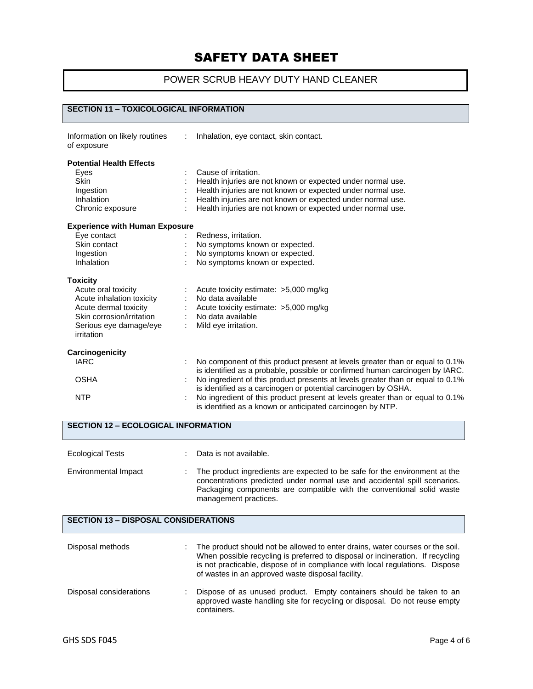## POWER SCRUB HEAVY DUTY HAND CLEANER

## **SECTION 11 – TOXICOLOGICAL INFORMATION**

| Information on likely routines<br>of exposure | $\mathcal{L}$ | Inhalation, eye contact, skin contact.                                                                                                                       |
|-----------------------------------------------|---------------|--------------------------------------------------------------------------------------------------------------------------------------------------------------|
| <b>Potential Health Effects</b><br>Eyes       |               | Cause of irritation.                                                                                                                                         |
| <b>Skin</b>                                   |               | Health injuries are not known or expected under normal use.                                                                                                  |
| Ingestion                                     |               | Health injuries are not known or expected under normal use.                                                                                                  |
| Inhalation                                    |               | Health injuries are not known or expected under normal use.                                                                                                  |
| Chronic exposure                              |               | Health injuries are not known or expected under normal use.                                                                                                  |
| <b>Experience with Human Exposure</b>         |               |                                                                                                                                                              |
| Eye contact                                   |               | Redness, irritation.                                                                                                                                         |
| Skin contact                                  |               | No symptoms known or expected.                                                                                                                               |
| Ingestion                                     |               | No symptoms known or expected.                                                                                                                               |
| Inhalation                                    |               | No symptoms known or expected.                                                                                                                               |
| <b>Toxicity</b>                               |               |                                                                                                                                                              |
| Acute oral toxicity                           |               | Acute toxicity estimate: $>5,000$ mg/kg                                                                                                                      |
| Acute inhalation toxicity                     |               | No data available                                                                                                                                            |
| Acute dermal toxicity                         |               | Acute toxicity estimate: >5,000 mg/kg                                                                                                                        |
| Skin corrosion/irritation                     |               | No data available                                                                                                                                            |
| Serious eye damage/eye<br>irritation          |               | Mild eye irritation.                                                                                                                                         |
| Carcinogenicity                               |               |                                                                                                                                                              |
| <b>IARC</b>                                   |               | No component of this product present at levels greater than or equal to 0.1%<br>is identified as a probable, possible or confirmed human carcinogen by IARC. |
| <b>OSHA</b>                                   |               | No ingredient of this product presents at levels greater than or equal to 0.1%<br>is identified as a carcinogen or potential carcinogen by OSHA.             |
| <b>NTP</b>                                    |               | No ingredient of this product present at levels greater than or equal to 0.1%<br>is identified as a known or anticipated carcinogen by NTP.                  |

| <b>Ecological Tests</b> | Data is not available.                                                                                                                                                                                                                                    |
|-------------------------|-----------------------------------------------------------------------------------------------------------------------------------------------------------------------------------------------------------------------------------------------------------|
| Environmental Impact    | The product ingredients are expected to be safe for the environment at the<br>concentrations predicted under normal use and accidental spill scenarios.<br>Packaging components are compatible with the conventional solid waste<br>management practices. |

### **SECTION 13 – DISPOSAL CONSIDERATIONS**

| Disposal methods        | The product should not be allowed to enter drains, water courses or the soil.<br>When possible recycling is preferred to disposal or incineration. If recycling<br>is not practicable, dispose of in compliance with local regulations. Dispose<br>of wastes in an approved waste disposal facility. |  |
|-------------------------|------------------------------------------------------------------------------------------------------------------------------------------------------------------------------------------------------------------------------------------------------------------------------------------------------|--|
| Disposal considerations | Dispose of as unused product. Empty containers should be taken to an<br>approved waste handling site for recycling or disposal. Do not reuse empty<br>containers.                                                                                                                                    |  |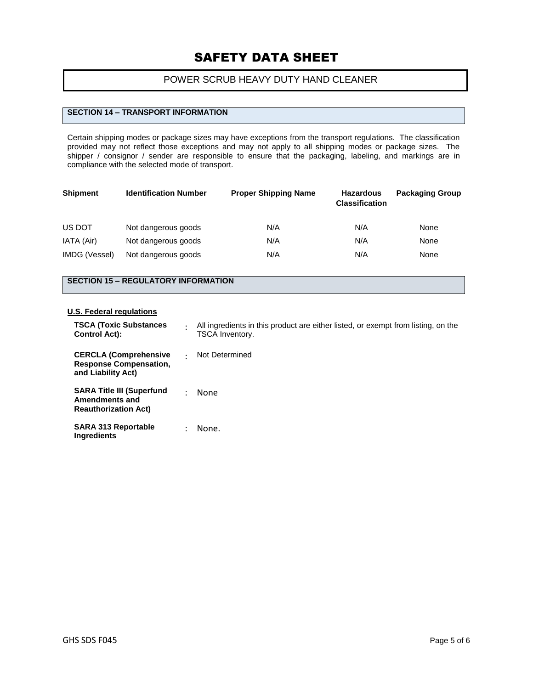## POWER SCRUB HEAVY DUTY HAND CLEANER

## **SECTION 14 – TRANSPORT INFORMATION**

Certain shipping modes or package sizes may have exceptions from the transport regulations. The classification provided may not reflect those exceptions and may not apply to all shipping modes or package sizes. The shipper / consignor / sender are responsible to ensure that the packaging, labeling, and markings are in compliance with the selected mode of transport.

| <b>Shipment</b> | <b>Identification Number</b> | <b>Proper Shipping Name</b> | <b>Hazardous</b><br><b>Classification</b> | <b>Packaging Group</b> |
|-----------------|------------------------------|-----------------------------|-------------------------------------------|------------------------|
| US DOT          | Not dangerous goods          | N/A                         | N/A                                       | None                   |
| IATA (Air)      | Not dangerous goods          | N/A                         | N/A                                       | None                   |
| IMDG (Vessel)   | Not dangerous goods          | N/A                         | N/A                                       | None                   |

### **SECTION 15 – REGULATORY INFORMATION**

#### **U.S. Federal regulations**

| <b>TSCA (Toxic Substances)</b><br><b>Control Act):</b>                                   |           | All ingredients in this product are either listed, or exempt from listing, on the<br><b>TSCA Inventory.</b> |
|------------------------------------------------------------------------------------------|-----------|-------------------------------------------------------------------------------------------------------------|
| <b>CERCLA (Comprehensive</b><br><b>Response Compensation.</b><br>and Liability Act)      | $\bullet$ | Not Determined                                                                                              |
| <b>SARA Title III (Superfund</b><br><b>Amendments and</b><br><b>Reauthorization Act)</b> |           | None                                                                                                        |
| <b>SARA 313 Reportable</b><br>Ingredients                                                |           | None.                                                                                                       |